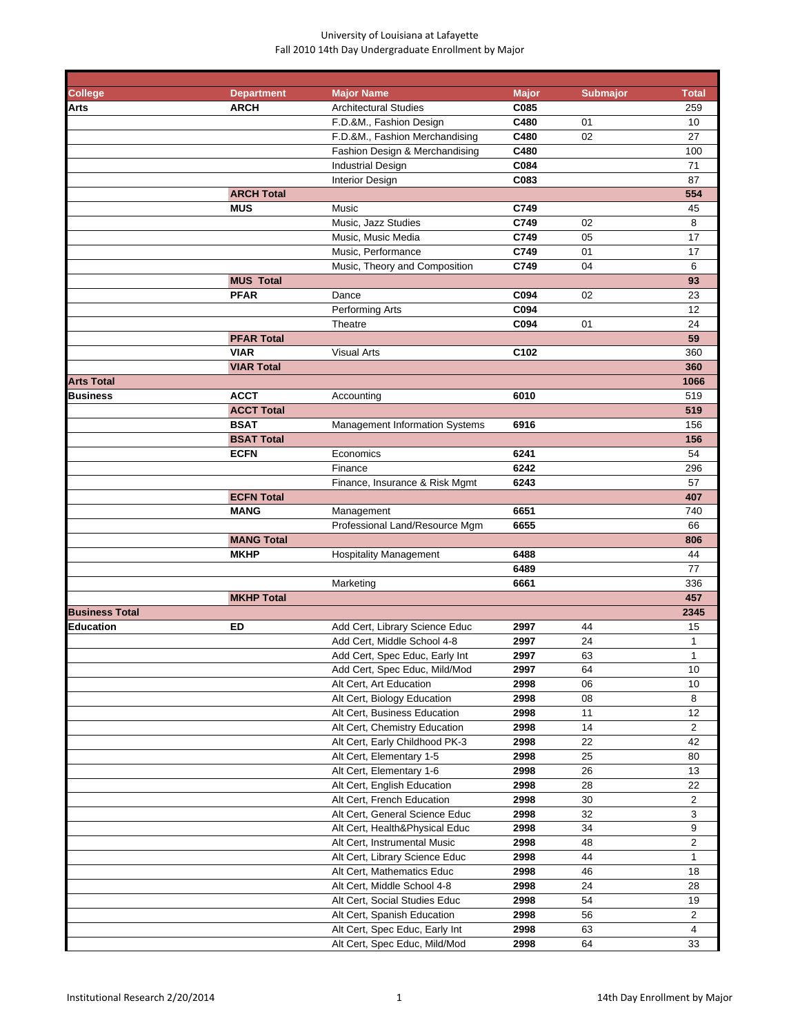| <b>College</b>        | <b>Department</b> | <b>Major Name</b>                     | <b>Major</b> | <b>Submajor</b> | <b>Total</b> |
|-----------------------|-------------------|---------------------------------------|--------------|-----------------|--------------|
| Arts                  | <b>ARCH</b>       | <b>Architectural Studies</b>          | C085         |                 | 259          |
|                       |                   | F.D.&M., Fashion Design               | C480         | 01              | 10           |
|                       |                   | F.D.&M., Fashion Merchandising        | C480         | 02              | 27           |
|                       |                   | Fashion Design & Merchandising        | C480         |                 | 100          |
|                       |                   | <b>Industrial Design</b>              | C084         |                 | 71           |
|                       |                   | <b>Interior Design</b>                | C083         |                 | 87           |
|                       | <b>ARCH Total</b> |                                       |              |                 | 554          |
|                       | <b>MUS</b>        | Music                                 | C749         |                 | 45           |
|                       |                   | Music, Jazz Studies                   | C749         | 02              | 8            |
|                       |                   | Music, Music Media                    | C749         | 05              | 17           |
|                       |                   | Music, Performance                    | C749         | 01              | 17           |
|                       |                   | Music, Theory and Composition         | C749         | 04              | 6            |
|                       | <b>MUS Total</b>  |                                       |              |                 | 93           |
|                       | <b>PFAR</b>       | Dance                                 | C094         | 02              | 23           |
|                       |                   | Performing Arts                       | C094         |                 | 12           |
|                       |                   | Theatre                               | C094         | 01              | 24           |
|                       | <b>PFAR Total</b> |                                       |              |                 | 59           |
|                       | <b>VIAR</b>       | <b>Visual Arts</b>                    | C102         |                 | 360          |
|                       | <b>VIAR Total</b> |                                       |              |                 | 360          |
| <b>Arts Total</b>     |                   |                                       |              |                 | 1066         |
| <b>Business</b>       | <b>ACCT</b>       | Accounting                            | 6010         |                 | 519          |
|                       |                   |                                       |              |                 | 519          |
|                       | <b>ACCT Total</b> |                                       |              |                 |              |
|                       | <b>BSAT</b>       | <b>Management Information Systems</b> | 6916         |                 | 156          |
|                       | <b>BSAT Total</b> |                                       |              |                 | 156          |
|                       | <b>ECFN</b>       | Economics                             | 6241         |                 | 54           |
|                       |                   | Finance                               | 6242         |                 | 296          |
|                       |                   | Finance, Insurance & Risk Mgmt        | 6243         |                 | 57           |
|                       | <b>ECFN Total</b> |                                       |              |                 | 407          |
|                       | <b>MANG</b>       | Management                            | 6651         |                 | 740          |
|                       |                   | Professional Land/Resource Mgm        | 6655         |                 | 66           |
|                       | <b>MANG Total</b> |                                       |              |                 | 806          |
|                       | <b>MKHP</b>       | <b>Hospitality Management</b>         | 6488         |                 | 44           |
|                       |                   |                                       | 6489         |                 | 77           |
|                       |                   | Marketing                             | 6661         |                 | 336          |
|                       | <b>MKHP Total</b> |                                       |              |                 | 457          |
| <b>Business Total</b> |                   |                                       |              |                 | 2345         |
| Education             | ED                | Add Cert, Library Science Educ        | 2997         | 44              | 15           |
|                       |                   | Add Cert, Middle School 4-8           | 2997         | 24              | 1            |
|                       |                   | Add Cert, Spec Educ, Early Int        | 2997         | 63              | 1            |
|                       |                   | Add Cert, Spec Educ, Mild/Mod         | 2997         | 64              | 10           |
|                       |                   | Alt Cert, Art Education               | 2998         | 06              | 10           |
|                       |                   | Alt Cert, Biology Education           | 2998         | 08              | 8            |
|                       |                   | Alt Cert, Business Education          | 2998         | 11              | 12           |
|                       |                   | Alt Cert, Chemistry Education         | 2998         | 14              | 2            |
|                       |                   | Alt Cert, Early Childhood PK-3        | 2998         | 22              | 42           |
|                       |                   | Alt Cert, Elementary 1-5              | 2998         | 25              | 80           |
|                       |                   | Alt Cert, Elementary 1-6              | 2998         | 26              | 13           |
|                       |                   | Alt Cert, English Education           | 2998         | 28              | 22           |
|                       |                   | Alt Cert, French Education            | 2998         | 30              | 2            |
|                       |                   | Alt Cert, General Science Educ        | 2998         | 32              | 3            |
|                       |                   | Alt Cert, Health&Physical Educ        | 2998         | 34              | 9            |
|                       |                   | Alt Cert, Instrumental Music          | 2998         | 48              | 2            |
|                       |                   | Alt Cert, Library Science Educ        | 2998         | 44              | 1            |
|                       |                   | Alt Cert, Mathematics Educ            | 2998         | 46              | 18           |
|                       |                   | Alt Cert, Middle School 4-8           | 2998         | 24              | 28           |
|                       |                   | Alt Cert, Social Studies Educ         | 2998         | 54              | 19           |
|                       |                   |                                       | 2998         | 56              | 2            |
|                       |                   | Alt Cert, Spanish Education           | 2998         | 63              | 4            |
|                       |                   | Alt Cert, Spec Educ, Early Int        |              |                 |              |
|                       |                   | Alt Cert, Spec Educ, Mild/Mod         | 2998         | 64              | 33           |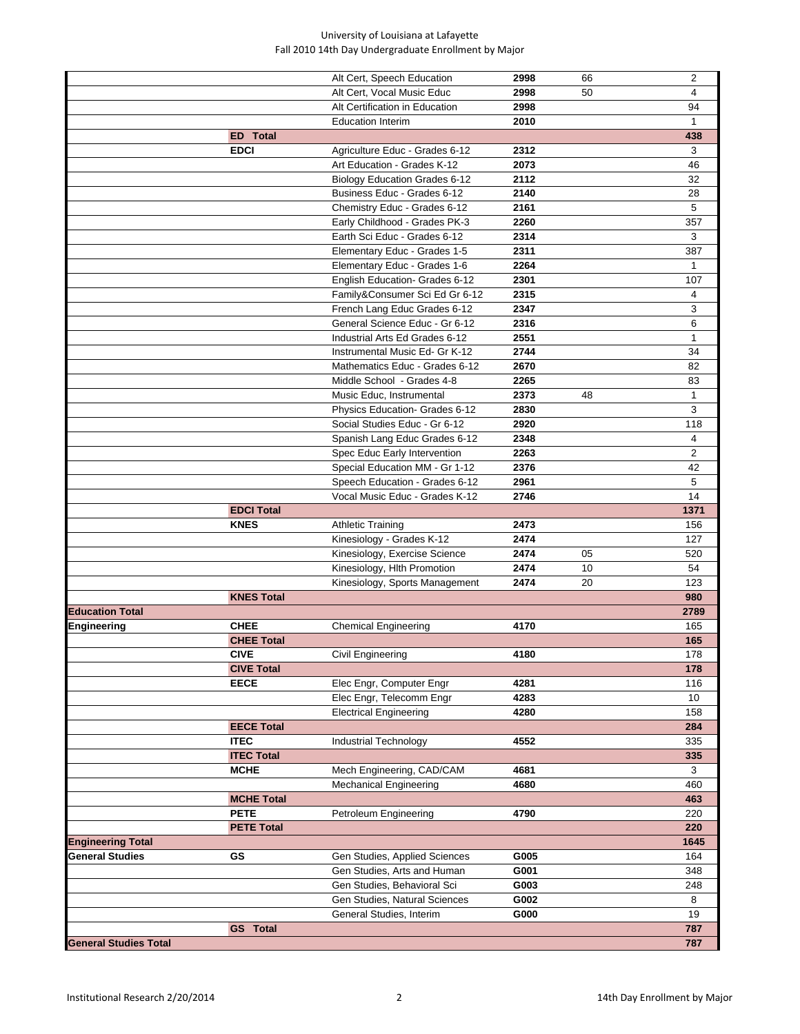|                              |                   | Alt Cert, Speech Education           | 2998 | 66 | 2            |
|------------------------------|-------------------|--------------------------------------|------|----|--------------|
|                              |                   | Alt Cert, Vocal Music Educ           | 2998 | 50 | 4            |
|                              |                   | Alt Certification in Education       | 2998 |    | 94           |
|                              |                   | <b>Education Interim</b>             | 2010 |    | $\mathbf{1}$ |
|                              | <b>ED</b> Total   |                                      |      |    | 438          |
|                              | <b>EDCI</b>       | Agriculture Educ - Grades 6-12       | 2312 |    | 3            |
|                              |                   | Art Education - Grades K-12          | 2073 |    | 46           |
|                              |                   | <b>Biology Education Grades 6-12</b> | 2112 |    | 32           |
|                              |                   | Business Educ - Grades 6-12          | 2140 |    | 28           |
|                              |                   | Chemistry Educ - Grades 6-12         | 2161 |    | 5            |
|                              |                   | Early Childhood - Grades PK-3        | 2260 |    | 357          |
|                              |                   |                                      |      |    |              |
|                              |                   | Earth Sci Educ - Grades 6-12         | 2314 |    | 3            |
|                              |                   | Elementary Educ - Grades 1-5         | 2311 |    | 387          |
|                              |                   | Elementary Educ - Grades 1-6         | 2264 |    | $\mathbf{1}$ |
|                              |                   | English Education- Grades 6-12       | 2301 |    | 107          |
|                              |                   | Family&Consumer Sci Ed Gr 6-12       | 2315 |    | 4            |
|                              |                   | French Lang Educ Grades 6-12         | 2347 |    | 3            |
|                              |                   | General Science Educ - Gr 6-12       | 2316 |    | 6            |
|                              |                   | Industrial Arts Ed Grades 6-12       | 2551 |    | $\mathbf 1$  |
|                              |                   | Instrumental Music Ed- Gr K-12       | 2744 |    | 34           |
|                              |                   | Mathematics Educ - Grades 6-12       | 2670 |    | 82           |
|                              |                   | Middle School - Grades 4-8           | 2265 |    | 83           |
|                              |                   | Music Educ, Instrumental             | 2373 | 48 | $\mathbf{1}$ |
|                              |                   |                                      | 2830 |    | 3            |
|                              |                   | Physics Education- Grades 6-12       |      |    |              |
|                              |                   | Social Studies Educ - Gr 6-12        | 2920 |    | 118          |
|                              |                   | Spanish Lang Educ Grades 6-12        | 2348 |    | 4            |
|                              |                   | Spec Educ Early Intervention         | 2263 |    | 2            |
|                              |                   | Special Education MM - Gr 1-12       | 2376 |    | 42           |
|                              |                   | Speech Education - Grades 6-12       | 2961 |    | 5            |
|                              |                   | Vocal Music Educ - Grades K-12       | 2746 |    | 14           |
|                              | <b>EDCI Total</b> |                                      |      |    | 1371         |
|                              | <b>KNES</b>       | <b>Athletic Training</b>             | 2473 |    | 156          |
|                              |                   | Kinesiology - Grades K-12            | 2474 |    | 127          |
|                              |                   | Kinesiology, Exercise Science        | 2474 | 05 | 520          |
|                              |                   | Kinesiology, Hlth Promotion          | 2474 | 10 | 54           |
|                              |                   | Kinesiology, Sports Management       | 2474 | 20 | 123          |
|                              |                   |                                      |      |    |              |
|                              | <b>KNES Total</b> |                                      |      |    | 980          |
| <b>Education Total</b>       |                   |                                      |      |    | 2789         |
| Engineering                  | <b>CHEE</b>       | <b>Chemical Engineering</b>          | 4170 |    | 165          |
|                              | <b>CHEE Total</b> |                                      |      |    | 165          |
|                              | <b>CIVE</b>       | Civil Engineering                    | 4180 |    | 178          |
|                              | <b>CIVE Total</b> |                                      |      |    | 178          |
|                              | <b>EECE</b>       | Elec Engr, Computer Engr             | 4281 |    | 116          |
|                              |                   | Elec Engr, Telecomm Engr             | 4283 |    | 10           |
|                              |                   | <b>Electrical Engineering</b>        | 4280 |    | 158          |
|                              | <b>EECE Total</b> |                                      |      |    | 284          |
|                              | <b>ITEC</b>       | <b>Industrial Technology</b>         | 4552 |    | 335          |
|                              | <b>ITEC Total</b> |                                      |      |    | 335          |
|                              | <b>MCHE</b>       | Mech Engineering, CAD/CAM            | 4681 |    | 3            |
|                              |                   |                                      |      |    |              |
|                              |                   | <b>Mechanical Engineering</b>        | 4680 |    | 460          |
|                              | <b>MCHE Total</b> |                                      |      |    | 463          |
|                              | <b>PETE</b>       | Petroleum Engineering                | 4790 |    | 220          |
|                              | <b>PETE Total</b> |                                      |      |    | 220          |
| <b>Engineering Total</b>     |                   |                                      |      |    | 1645         |
| General Studies              | GS                | Gen Studies, Applied Sciences        | G005 |    | 164          |
|                              |                   | Gen Studies, Arts and Human          | G001 |    | 348          |
|                              |                   | Gen Studies, Behavioral Sci          | G003 |    | 248          |
|                              |                   | Gen Studies, Natural Sciences        | G002 |    | 8            |
|                              |                   | General Studies, Interim             | G000 |    | 19           |
|                              | <b>GS</b> Total   |                                      |      |    | 787          |
| <b>General Studies Total</b> |                   |                                      |      |    | 787          |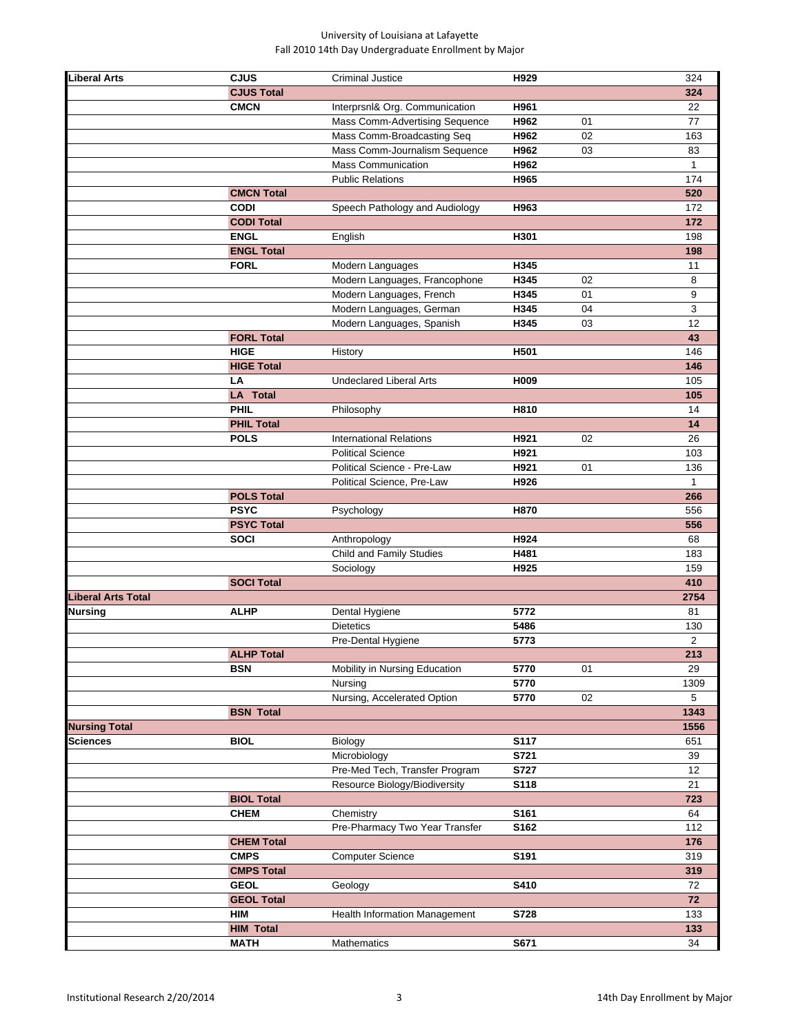| <b>Liberal Arts</b>  | <b>CJUS</b>       | <b>Criminal Justice</b>        | H929        |    | 324            |
|----------------------|-------------------|--------------------------------|-------------|----|----------------|
|                      | <b>CJUS Total</b> |                                |             |    | 324            |
|                      | <b>CMCN</b>       |                                | H961        |    | 22             |
|                      |                   | Interprsnl& Org. Communication |             |    |                |
|                      |                   | Mass Comm-Advertising Sequence | H962        | 01 | 77             |
|                      |                   | Mass Comm-Broadcasting Seq     | H962        | 02 | 163            |
|                      |                   | Mass Comm-Journalism Sequence  | H962        | 03 | 83             |
|                      |                   | <b>Mass Communication</b>      | H962        |    | 1              |
|                      |                   | <b>Public Relations</b>        | H965        |    | 174            |
|                      | <b>CMCN Total</b> |                                |             |    | 520            |
|                      | <b>CODI</b>       | Speech Pathology and Audiology | H963        |    | 172            |
|                      | <b>CODI Total</b> |                                |             |    | 172            |
|                      | <b>ENGL</b>       |                                | H301        |    | 198            |
|                      |                   | English                        |             |    |                |
|                      | <b>ENGL Total</b> |                                |             |    | 198            |
|                      | <b>FORL</b>       | Modern Languages               | H345        |    | 11             |
|                      |                   | Modern Languages, Francophone  | H345        | 02 | 8              |
|                      |                   | Modern Languages, French       | H345        | 01 | 9              |
|                      |                   | Modern Languages, German       | H345        | 04 | 3              |
|                      |                   | Modern Languages, Spanish      | H345        | 03 | 12             |
|                      | <b>FORL Total</b> |                                |             |    | 43             |
|                      | <b>HIGE</b>       | History                        | H501        |    | 146            |
|                      | <b>HIGE Total</b> |                                |             |    | 146            |
|                      |                   |                                |             |    |                |
|                      | LA                | <b>Undeclared Liberal Arts</b> | H009        |    | 105            |
|                      | <b>LA</b> Total   |                                |             |    | 105            |
|                      | <b>PHIL</b>       | Philosophy                     | H810        |    | 14             |
|                      | <b>PHIL Total</b> |                                |             |    | 14             |
|                      | <b>POLS</b>       | <b>International Relations</b> | H921        | 02 | 26             |
|                      |                   | <b>Political Science</b>       | H921        |    | 103            |
|                      |                   | Political Science - Pre-Law    | H921        | 01 | 136            |
|                      |                   | Political Science, Pre-Law     | H926        |    | $\mathbf{1}$   |
|                      | <b>POLS Total</b> |                                |             |    | 266            |
|                      |                   |                                |             |    |                |
|                      | <b>PSYC</b>       | Psychology                     | H870        |    | 556            |
|                      | <b>PSYC Total</b> |                                |             |    | 556            |
|                      | <b>SOCI</b>       | Anthropology                   | H924        |    | 68             |
|                      |                   | Child and Family Studies       | H481        |    | 183            |
|                      |                   | Sociology                      | H925        |    | 159            |
|                      | <b>SOCI Total</b> |                                |             |    | 410            |
| Liberal Arts Total   |                   |                                |             |    | 2754           |
| Nursing              | <b>ALHP</b>       | Dental Hygiene                 | 5772        |    | 81             |
|                      |                   | <b>Dietetics</b>               | 5486        |    | 130            |
|                      |                   |                                |             |    |                |
|                      |                   | Pre-Dental Hygiene             | 5773        |    | $\overline{2}$ |
|                      | <b>ALHP Total</b> |                                |             |    | 213            |
|                      | <b>BSN</b>        | Mobility in Nursing Education  | 5770        | 01 | 29             |
|                      |                   | Nursing                        | 5770        |    | 1309           |
|                      |                   | Nursing, Accelerated Option    | 5770        | 02 | 5              |
|                      | <b>BSN Total</b>  |                                |             |    | 1343           |
| <b>Nursing Total</b> |                   |                                |             |    | 1556           |
| Sciences             | <b>BIOL</b>       | Biology                        | S117        |    | 651            |
|                      |                   | Microbiology                   | S721        |    | 39             |
|                      |                   | Pre-Med Tech, Transfer Program | <b>S727</b> |    | 12             |
|                      |                   |                                |             |    |                |
|                      |                   | Resource Biology/Biodiversity  | S118        |    | 21             |
|                      | <b>BIOL Total</b> |                                |             |    | 723            |
|                      | <b>CHEM</b>       | Chemistry                      | S161        |    | 64             |
|                      |                   | Pre-Pharmacy Two Year Transfer | S162        |    | 112            |
|                      | <b>CHEM Total</b> |                                |             |    | 176            |
|                      | <b>CMPS</b>       | <b>Computer Science</b>        | S191        |    | 319            |
|                      | <b>CMPS Total</b> |                                |             |    | 319            |
|                      | <b>GEOL</b>       |                                |             |    |                |
|                      |                   | Geology                        | S410        |    | 72             |
|                      | <b>GEOL Total</b> |                                |             |    | 72             |
|                      | <b>HIM</b>        | Health Information Management  | S728        |    | 133            |
|                      | <b>HIM Total</b>  |                                |             |    | 133            |
|                      | <b>MATH</b>       | Mathematics                    | S671        |    | 34             |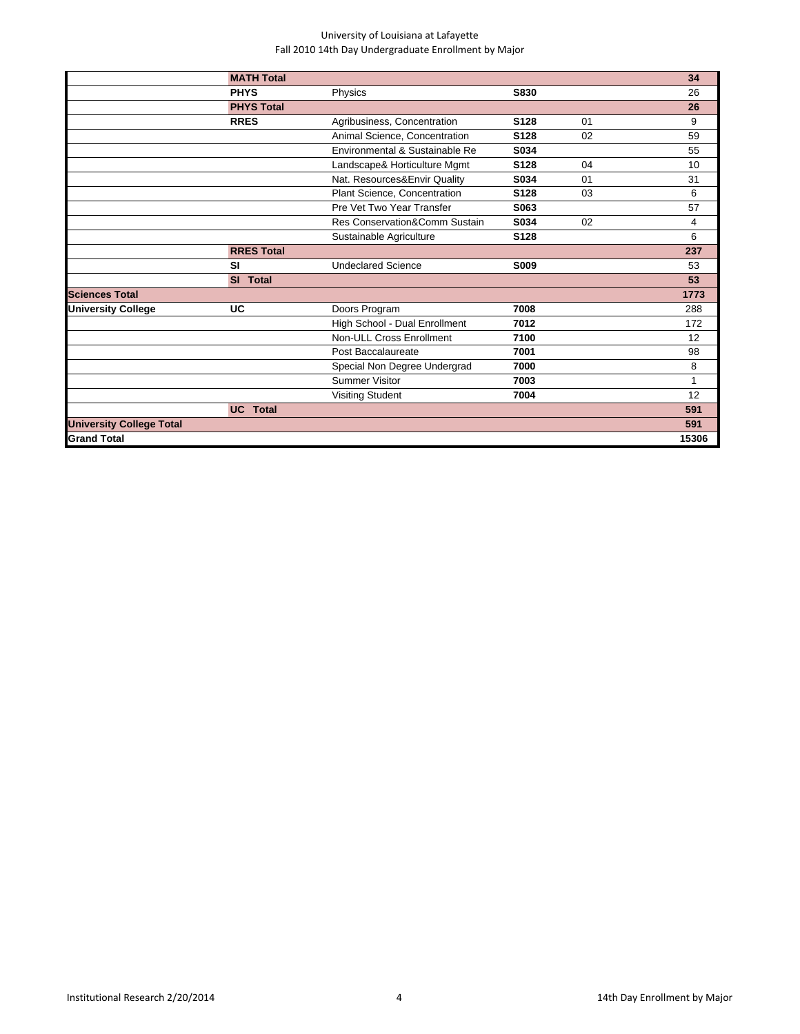|                                 | <b>MATH Total</b> |                                |             |    | 34           |
|---------------------------------|-------------------|--------------------------------|-------------|----|--------------|
|                                 | <b>PHYS</b>       | Physics                        | S830        |    | 26           |
|                                 | <b>PHYS Total</b> |                                |             |    | 26           |
|                                 | <b>RRES</b>       | Agribusiness, Concentration    | S128        | 01 | 9            |
|                                 |                   | Animal Science, Concentration  | S128        | 02 | 59           |
|                                 |                   | Environmental & Sustainable Re | S034        |    | 55           |
|                                 |                   | Landscape& Horticulture Mgmt   | S128        | 04 | 10           |
|                                 |                   | Nat. Resources&Envir Quality   | S034        | 01 | 31           |
|                                 |                   | Plant Science, Concentration   | S128        | 03 | 6            |
|                                 |                   | Pre Vet Two Year Transfer      | S063        |    | 57           |
|                                 |                   | Res Conservation&Comm Sustain  | S034        | 02 | 4            |
|                                 |                   | Sustainable Agriculture        | S128        |    | 6            |
|                                 | <b>RRES Total</b> |                                |             |    | 237          |
|                                 | <b>SI</b>         | <b>Undeclared Science</b>      | <b>S009</b> |    | 53           |
|                                 | SI Total          |                                |             |    | 53           |
| <b>Sciences Total</b>           |                   |                                |             |    | 1773         |
| <b>University College</b>       | UC                | Doors Program                  | 7008        |    | 288          |
|                                 |                   | High School - Dual Enrollment  | 7012        |    | 172          |
|                                 |                   | Non-ULL Cross Enrollment       | 7100        |    | 12           |
|                                 |                   | Post Baccalaureate             | 7001        |    | 98           |
|                                 |                   | Special Non Degree Undergrad   | 7000        |    | 8            |
|                                 |                   | <b>Summer Visitor</b>          | 7003        |    | $\mathbf{1}$ |
|                                 |                   | <b>Visiting Student</b>        | 7004        |    | 12           |
|                                 | <b>UC</b> Total   |                                |             |    | 591          |
| <b>University College Total</b> |                   |                                |             |    | 591          |
| <b>Grand Total</b>              |                   |                                |             |    | 15306        |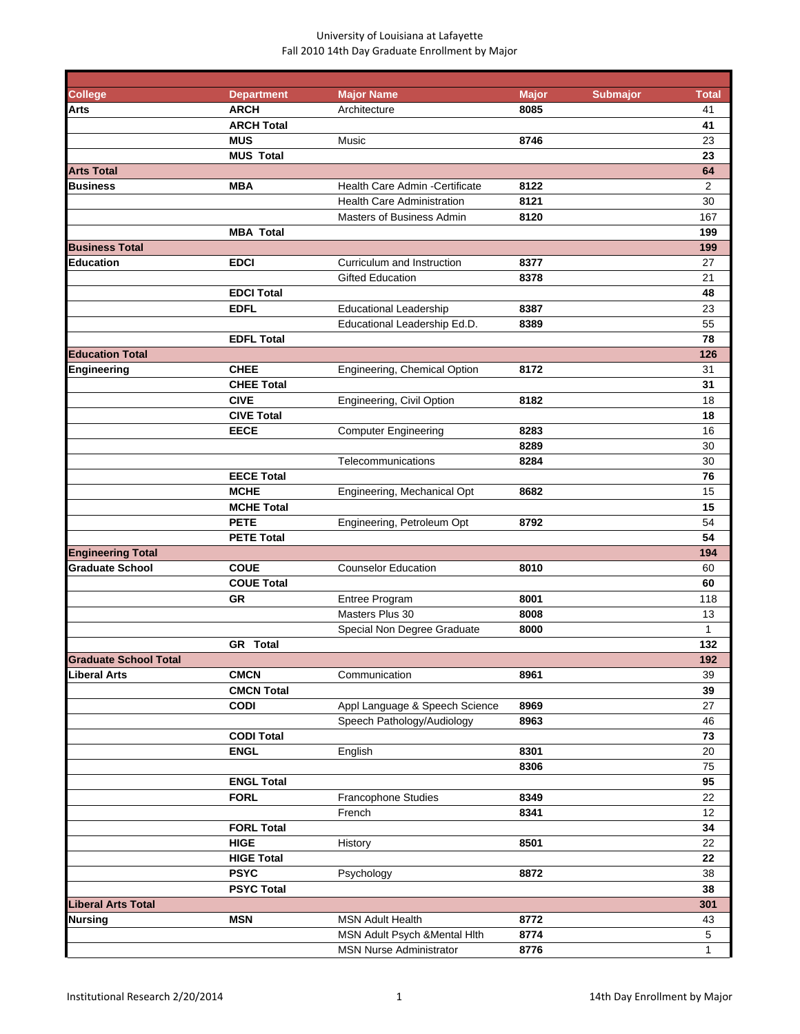| College                      | <b>Department</b> | <b>Major Name</b>                 | <b>Major</b> | <b>Submajor</b> | <b>Total</b>   |
|------------------------------|-------------------|-----------------------------------|--------------|-----------------|----------------|
| Arts                         | <b>ARCH</b>       | Architecture                      | 8085         |                 | 41             |
|                              | <b>ARCH Total</b> |                                   |              |                 | 41             |
|                              | <b>MUS</b>        | Music                             | 8746         |                 | 23             |
|                              | <b>MUS Total</b>  |                                   |              |                 | 23             |
| <b>Arts Total</b>            |                   |                                   |              |                 | 64             |
| Business                     | <b>MBA</b>        | Health Care Admin - Certificate   | 8122         |                 | $\overline{2}$ |
|                              |                   | <b>Health Care Administration</b> | 8121         |                 | 30             |
|                              |                   | Masters of Business Admin         | 8120         |                 | 167            |
|                              | <b>MBA Total</b>  |                                   |              |                 | 199            |
| <b>Business Total</b>        |                   |                                   |              |                 | 199            |
| <b>Education</b>             | <b>EDCI</b>       | Curriculum and Instruction        | 8377         |                 | 27             |
|                              |                   | <b>Gifted Education</b>           | 8378         |                 | 21             |
|                              | <b>EDCI Total</b> |                                   |              |                 | 48             |
|                              | <b>EDFL</b>       | <b>Educational Leadership</b>     | 8387         |                 | 23             |
|                              |                   | Educational Leadership Ed.D.      | 8389         |                 | 55             |
|                              | <b>EDFL Total</b> |                                   |              |                 | 78             |
| <b>Education Total</b>       |                   |                                   |              |                 | 126            |
| Engineering                  | <b>CHEE</b>       | Engineering, Chemical Option      | 8172         |                 | 31             |
|                              | <b>CHEE Total</b> |                                   |              |                 | 31             |
|                              | <b>CIVE</b>       | Engineering, Civil Option         | 8182         |                 | 18             |
|                              | <b>CIVE Total</b> |                                   |              |                 | 18             |
|                              | <b>EECE</b>       | <b>Computer Engineering</b>       | 8283         |                 | 16             |
|                              |                   |                                   | 8289         |                 | 30             |
|                              |                   | Telecommunications                | 8284         |                 | 30             |
|                              | <b>EECE Total</b> |                                   |              |                 | 76             |
|                              | <b>MCHE</b>       | Engineering, Mechanical Opt       | 8682         |                 | 15             |
|                              | <b>MCHE Total</b> |                                   |              |                 | 15             |
|                              | <b>PETE</b>       |                                   | 8792         |                 | 54             |
|                              | <b>PETE Total</b> | Engineering, Petroleum Opt        |              |                 | 54             |
|                              |                   |                                   |              |                 | 194            |
| <b>Engineering Total</b>     |                   |                                   |              |                 |                |
| <b>Graduate School</b>       | <b>COUE</b>       | <b>Counselor Education</b>        | 8010         |                 | 60             |
|                              | <b>COUE Total</b> |                                   |              |                 | 60             |
|                              | <b>GR</b>         | Entree Program                    | 8001         |                 | 118            |
|                              |                   | Masters Plus 30                   | 8008         |                 | 13             |
|                              |                   | Special Non Degree Graduate       | 8000         |                 | 1              |
|                              | <b>GR</b> Total   |                                   |              |                 | 132            |
| <b>Graduate School Total</b> |                   |                                   |              |                 | 192            |
| Liberal Arts                 | <b>CMCN</b>       | Communication                     | 8961         |                 | 39             |
|                              | <b>CMCN Total</b> |                                   |              |                 | 39             |
|                              | <b>CODI</b>       | Appl Language & Speech Science    | 8969         |                 | 27             |
|                              |                   | Speech Pathology/Audiology        | 8963         |                 | 46             |
|                              | <b>CODI Total</b> |                                   |              |                 | 73             |
|                              | <b>ENGL</b>       | English                           | 8301         |                 | 20             |
|                              |                   |                                   | 8306         |                 | 75             |
|                              | <b>ENGL Total</b> |                                   |              |                 | 95             |
|                              | <b>FORL</b>       | Francophone Studies               | 8349         |                 | 22             |
|                              |                   | French                            | 8341         |                 | 12             |
|                              | <b>FORL Total</b> |                                   |              |                 | 34             |
|                              | <b>HIGE</b>       | History                           | 8501         |                 | 22             |
|                              | <b>HIGE Total</b> |                                   |              |                 | 22             |
|                              | <b>PSYC</b>       | Psychology                        | 8872         |                 | 38             |
|                              | <b>PSYC Total</b> |                                   |              |                 | 38             |
| <b>Liberal Arts Total</b>    |                   |                                   |              |                 | 301            |
| Nursing                      | <b>MSN</b>        | <b>MSN Adult Health</b>           | 8772         |                 | 43             |
|                              |                   | MSN Adult Psych & Mental Hith     | 8774         |                 | 5              |
|                              |                   | <b>MSN Nurse Administrator</b>    | 8776         |                 | $\mathbf{1}$   |
|                              |                   |                                   |              |                 |                |